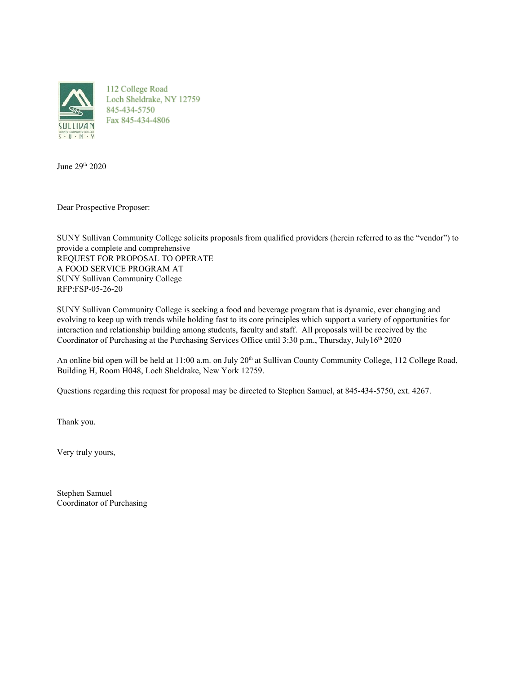

112 College Road Loch Sheldrake, NY 12759 845-434-5750 Fax 845-434-4806

June 29 th 2020

Dear Prospective Proposer:

SUNY Sullivan Community College solicits proposals from qualified providers (herein referred to as the "vendor") to provide a complete and comprehensive REQUEST FOR PROPOSAL TO OPERATE A FOOD SERVICE PROGRAM AT SUNY Sullivan Community College RFP:FSP-05-26-20

SUNY Sullivan Community College is seeking a food and beverage program that is dynamic, ever changing and evolving to keep up with trends while holding fast to its core principles which support a variety of opportunities for interaction and relationship building among students, faculty and staff. All proposals will be received by the Coordinator of Purchasing at the Purchasing Services Office until  $3:30$  p.m., Thursday, July16<sup>th</sup> 2020

An online bid open will be held at 11:00 a.m. on July 20<sup>th</sup> at Sullivan County Community College, 112 College Road, Building H, Room H048, Loch Sheldrake, New York 12759.

Questions regarding this request for proposal may be directed to Stephen Samuel, at 845-434-5750, ext. 4267.

Thank you.

Very truly yours,

Stephen Samuel Coordinator of Purchasing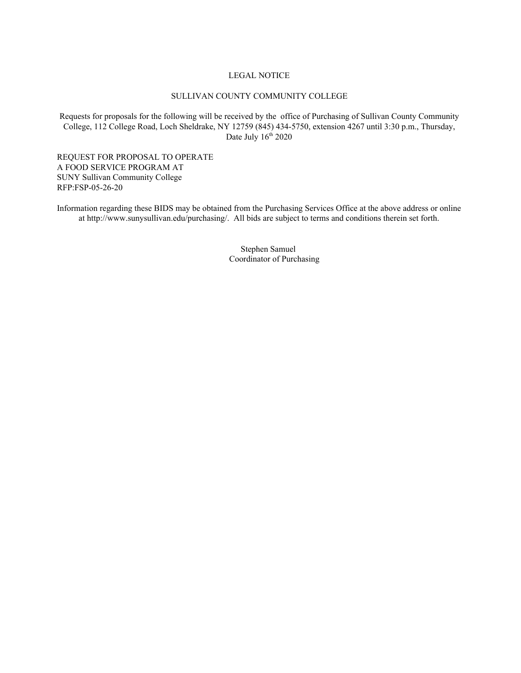#### LEGAL NOTICE

#### SULLIVAN COUNTY COMMUNITY COLLEGE

Requests for proposals for the following will be received by the office of Purchasing of Sullivan County Community College, 112 College Road, Loch Sheldrake, NY 12759 (845) 434-5750, extension 4267 until 3:30 p.m., Thursday, Date July 16<sup>th</sup> 2020

REQUEST FOR PROPOSAL TO OPERATE A FOOD SERVICE PROGRAM AT SUNY Sullivan Community College RFP:FSP-05-26-20

Information regarding these BIDS may be obtained from the Purchasing Services Office at the above address or online at http://www.sunysullivan.edu/purchasing/. All bids are subject to terms and conditions therein set forth.

> Stephen Samuel Coordinator of Purchasing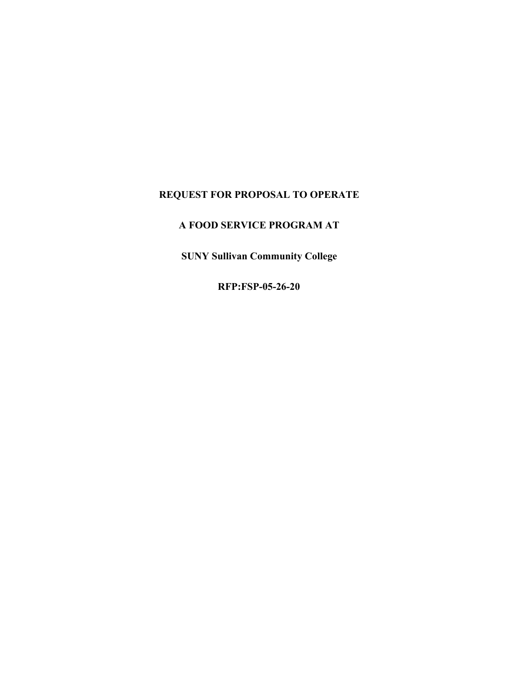# **REQUEST FOR PROPOSAL TO OPERATE**

# **A FOOD SERVICE PROGRAM AT**

**SUNY Sullivan Community College**

**RFP:FSP-05-26-20**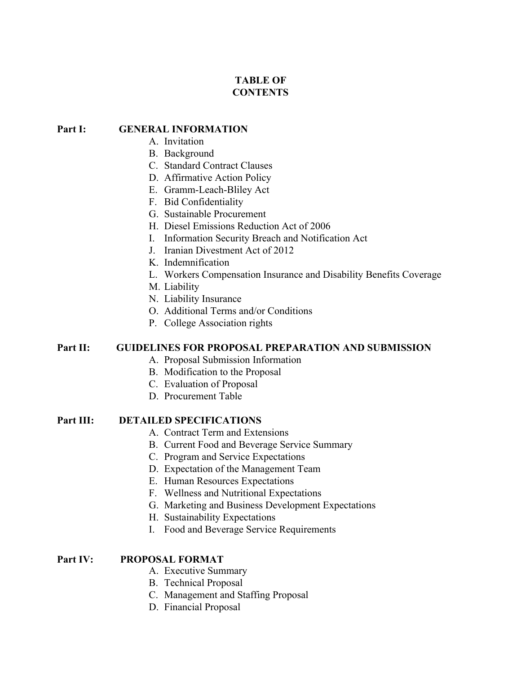# **TABLE OF CONTENTS**

#### **Part I: GENERAL INFORMATION**

- A. Invitation
- B. Background
- C. Standard Contract Clauses
- D. Affirmative Action Policy
- E. Gramm-Leach-Bliley Act
- F. Bid Confidentiality
- G. Sustainable Procurement
- H. Diesel Emissions Reduction Act of 2006
- I. Information Security Breach and Notification Act
- J. Iranian Divestment Act of 2012
- K. Indemnification
- L. Workers Compensation Insurance and Disability Benefits Coverage
- M. Liability
- N. Liability Insurance
- O. Additional Terms and/or Conditions
- P. College Association rights

## **Part II: GUIDELINES FOR PROPOSAL PREPARATION AND SUBMISSION**

- A. Proposal Submission Information
- B. Modification to the Proposal
- C. Evaluation of Proposal
- D. Procurement Table
- **Part III: DETAILED SPECIFICATIONS**
	- A. Contract Term and Extensions
	- B. Current Food and Beverage Service Summary
	- C. Program and Service Expectations
	- D. Expectation of the Management Team
	- E. Human Resources Expectations
	- F. Wellness and Nutritional Expectations
	- G. Marketing and Business Development Expectations
	- H. Sustainability Expectations
	- I. Food and Beverage Service Requirements

#### **Part IV: PROPOSAL FORMAT**

- A. Executive Summary
- B. Technical Proposal
- C. Management and Staffing Proposal
- D. Financial Proposal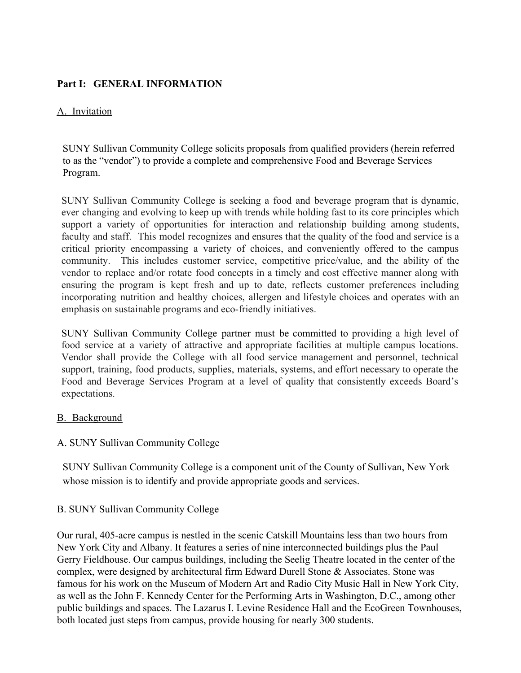# **Part I: GENERAL INFORMATION**

## A. Invitation

SUNY Sullivan Community College solicits proposals from qualified providers (herein referred to as the "vendor") to provide a complete and comprehensive Food and Beverage Services Program.

SUNY Sullivan Community College is seeking a food and beverage program that is dynamic, ever changing and evolving to keep up with trends while holding fast to its core principles which support a variety of opportunities for interaction and relationship building among students, faculty and staff. This model recognizes and ensures that the quality of the food and service is a critical priority encompassing a variety of choices, and conveniently offered to the campus community. This includes customer service, competitive price/value, and the ability of the vendor to replace and/or rotate food concepts in a timely and cost effective manner along with ensuring the program is kept fresh and up to date, reflects customer preferences including incorporating nutrition and healthy choices, allergen and lifestyle choices and operates with an emphasis on sustainable programs and eco-friendly initiatives.

SUNY Sullivan Community College partner must be committed to providing a high level of food service at a variety of attractive and appropriate facilities at multiple campus locations. Vendor shall provide the College with all food service management and personnel, technical support, training, food products, supplies, materials, systems, and effort necessary to operate the Food and Beverage Services Program at a level of quality that consistently exceeds Board's expectations.

## B. Background

## A. SUNY Sullivan Community College

SUNY Sullivan Community College is a component unit of the County of Sullivan, New York whose mission is to identify and provide appropriate goods and services.

## B. SUNY Sullivan Community College

Our rural, 405-acre campus is nestled in the scenic Catskill Mountains less than two hours from New York City and Albany. It features a series of nine interconnected buildings plus the Paul Gerry Fieldhouse. Our campus buildings, including the Seelig Theatre located in the center of the complex, were designed by architectural firm Edward Durell Stone & Associates. Stone was famous for his work on the Museum of Modern Art and Radio City Music Hall in New York City, as well as the John F. Kennedy Center for the Performing Arts in Washington, D.C., among other public buildings and spaces. The Lazarus I. Levine Residence Hall and the EcoGreen Townhouses, both located just steps from campus, provide housing for nearly 300 students.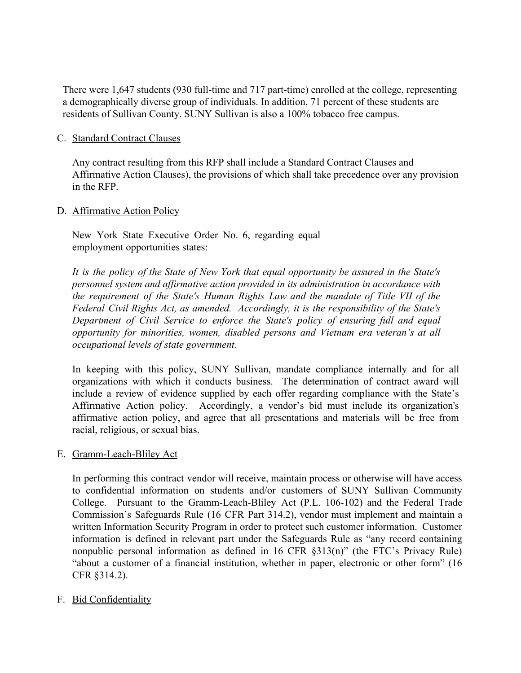There were 1,647 students (930 full-time and 717 part-time) enrolled at the college, representing a demographically diverse group of individuals. In addition, 71 percent of these students are residents of Sullivan County. SUNY Sullivan is also a 100% tobacco free campus.

#### C. Standard Contract Clauses

Any contract resulting from this RFP shall include a Standard Contract Clauses and Affirmative Action Clauses), the provisions of which shall take precedence over any provision in the RFP.

#### D. Affirmative Action Policy

New York State Executive Order No. 6, regarding equal employment opportunities states:

*It is the policy of the State of New York that equal opportunity be assured in the State's personnel system and affirmative action provided in its administration in accordance with the requirement of the State's Human Rights Law and the mandate of Title VII of the Federal Civil Rights Act, as amended. Accordingly, it is the responsibility of the State's Department of Civil Service to enforce the State's policy of ensuring full and equal opportunity for minorities, women, disabled persons and Vietnam era veteran's at all occupational levels of state government.*

In keeping with this policy, SUNY Sullivan, mandate compliance internally and for all organizations with which it conducts business. The determination of contract award will include a review of evidence supplied by each offer regarding compliance with the State's Affirmative Action policy. Accordingly, a vendor's bid must include its organization's affirmative action policy, and agree that all presentations and materials will be free from racial, religious, or sexual bias.

#### E. Gramm-Leach-Bliley Act

In performing this contract vendor will receive, maintain process or otherwise will have access to confidential information on students and/or customers of SUNY Sullivan Community College. Pursuant to the Gramm-Leach-Bliley Act (P.L. 106-102) and the Federal Trade Commission's Safeguards Rule (16 CFR Part 314.2), vendor must implement and maintain a written Information Security Program in order to protect such customer information. Customer information is defined in relevant part under the Safeguards Rule as "any record containing nonpublic personal information as defined in 16 CFR §313(n)" (the FTC's Privacy Rule) "about a customer of a financial institution, whether in paper, electronic or other form" (16 CFR §314.2).

#### F. Bid Confidentiality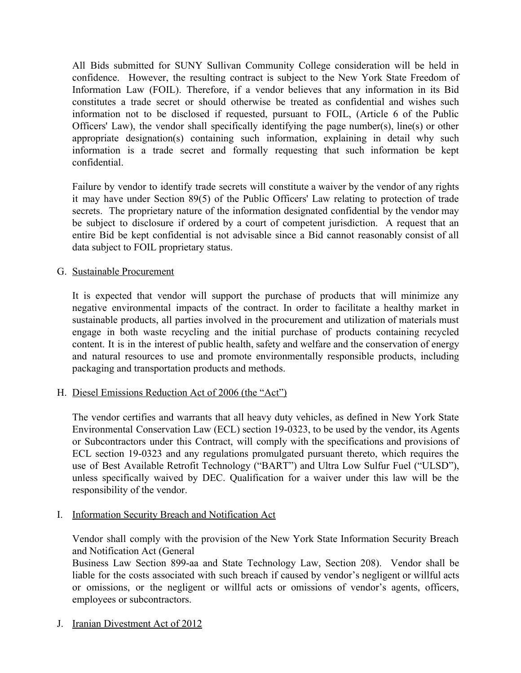All Bids submitted for SUNY Sullivan Community College consideration will be held in confidence. However, the resulting contract is subject to the New York State Freedom of Information Law (FOIL). Therefore, if a vendor believes that any information in its Bid constitutes a trade secret or should otherwise be treated as confidential and wishes such information not to be disclosed if requested, pursuant to FOIL, (Article 6 of the Public Officers' Law), the vendor shall specifically identifying the page number(s), line(s) or other appropriate designation(s) containing such information, explaining in detail why such information is a trade secret and formally requesting that such information be kept confidential.

Failure by vendor to identify trade secrets will constitute a waiver by the vendor of any rights it may have under Section 89(5) of the Public Officers' Law relating to protection of trade secrets. The proprietary nature of the information designated confidential by the vendor may be subject to disclosure if ordered by a court of competent jurisdiction. A request that an entire Bid be kept confidential is not advisable since a Bid cannot reasonably consist of all data subject to FOIL proprietary status.

#### G. Sustainable Procurement

It is expected that vendor will support the purchase of products that will minimize any negative environmental impacts of the contract. In order to facilitate a healthy market in sustainable products, all parties involved in the procurement and utilization of materials must engage in both waste recycling and the initial purchase of products containing recycled content. It is in the interest of public health, safety and welfare and the conservation of energy and natural resources to use and promote environmentally responsible products, including packaging and transportation products and methods.

#### H. Diesel Emissions Reduction Act of 2006 (the "Act")

The vendor certifies and warrants that all heavy duty vehicles, as defined in New York State Environmental Conservation Law (ECL) section 19-0323, to be used by the vendor, its Agents or Subcontractors under this Contract, will comply with the specifications and provisions of ECL section 19-0323 and any regulations promulgated pursuant thereto, which requires the use of Best Available Retrofit Technology ("BART") and Ultra Low Sulfur Fuel ("ULSD"), unless specifically waived by DEC. Qualification for a waiver under this law will be the responsibility of the vendor.

I. Information Security Breach and Notification Act

Vendor shall comply with the provision of the New York State Information Security Breach and Notification Act (General

Business Law Section 899-aa and State Technology Law, Section 208). Vendor shall be liable for the costs associated with such breach if caused by vendor's negligent or willful acts or omissions, or the negligent or willful acts or omissions of vendor's agents, officers, employees or subcontractors.

J. Iranian Divestment Act of 2012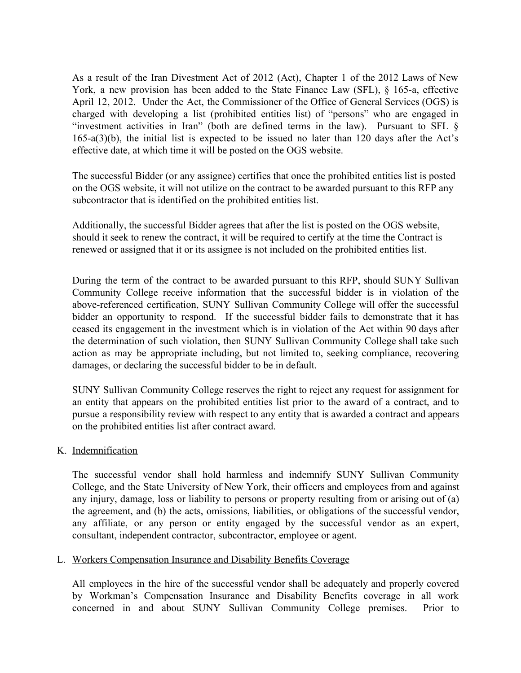As a result of the Iran Divestment Act of 2012 (Act), Chapter 1 of the 2012 Laws of New York, a new provision has been added to the State Finance Law (SFL),  $\S$  165-a, effective April 12, 2012. Under the Act, the Commissioner of the Office of General Services (OGS) is charged with developing a list (prohibited entities list) of "persons" who are engaged in "investment activities in Iran" (both are defined terms in the law). Pursuant to SFL  $\S$ 165-a(3)(b), the initial list is expected to be issued no later than 120 days after the Act's effective date, at which time it will be posted on the OGS website.

The successful Bidder (or any assignee) certifies that once the prohibited entities list is posted on the OGS website, it will not utilize on the contract to be awarded pursuant to this RFP any subcontractor that is identified on the prohibited entities list.

Additionally, the successful Bidder agrees that after the list is posted on the OGS website, should it seek to renew the contract, it will be required to certify at the time the Contract is renewed or assigned that it or its assignee is not included on the prohibited entities list.

During the term of the contract to be awarded pursuant to this RFP, should SUNY Sullivan Community College receive information that the successful bidder is in violation of the above-referenced certification, SUNY Sullivan Community College will offer the successful bidder an opportunity to respond. If the successful bidder fails to demonstrate that it has ceased its engagement in the investment which is in violation of the Act within 90 days after the determination of such violation, then SUNY Sullivan Community College shall take such action as may be appropriate including, but not limited to, seeking compliance, recovering damages, or declaring the successful bidder to be in default.

SUNY Sullivan Community College reserves the right to reject any request for assignment for an entity that appears on the prohibited entities list prior to the award of a contract, and to pursue a responsibility review with respect to any entity that is awarded a contract and appears on the prohibited entities list after contract award.

#### K. Indemnification

The successful vendor shall hold harmless and indemnify SUNY Sullivan Community College, and the State University of New York, their officers and employees from and against any injury, damage, loss or liability to persons or property resulting from or arising out of (a) the agreement, and (b) the acts, omissions, liabilities, or obligations of the successful vendor, any affiliate, or any person or entity engaged by the successful vendor as an expert, consultant, independent contractor, subcontractor, employee or agent.

#### L. Workers Compensation Insurance and Disability Benefits Coverage

All employees in the hire of the successful vendor shall be adequately and properly covered by Workman's Compensation Insurance and Disability Benefits coverage in all work concerned in and about SUNY Sullivan Community College premises. Prior to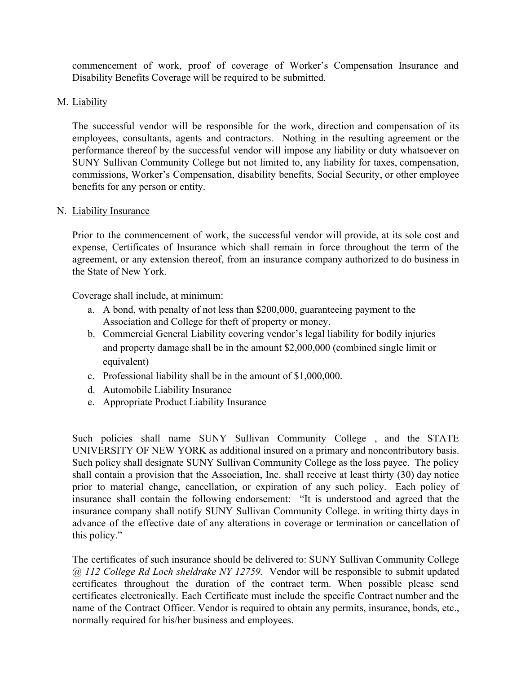commencement of work, proof of coverage of Worker's Compensation Insurance and Disability Benefits Coverage will be required to be submitted.

#### M. Liability

The successful vendor will be responsible for the work, direction and compensation of its employees, consultants, agents and contractors. Nothing in the resulting agreement or the performance thereof by the successful vendor will impose any liability or duty whatsoever on SUNY Sullivan Community College but not limited to, any liability for taxes, compensation, commissions, Worker's Compensation, disability benefits, Social Security, or other employee benefits for any person or entity.

#### N. Liability Insurance

Prior to the commencement of work, the successful vendor will provide, at its sole cost and expense, Certificates of Insurance which shall remain in force throughout the term of the agreement, or any extension thereof, from an insurance company authorized to do business in the State of New York.

Coverage shall include, at minimum:

- a. A bond, with penalty of not less than \$200,000, guaranteeing payment to the Association and College for theft of property or money.
- b. Commercial General Liability covering vendor's legal liability for bodily injuries and property damage shall be in the amount \$2,000,000 (combined single limit or equivalent)
- c. Professional liability shall be in the amount of \$1,000,000.
- d. Automobile Liability Insurance
- e. Appropriate Product Liability Insurance

Such policies shall name SUNY Sullivan Community College , and the STATE UNIVERSITY OF NEW YORK as additional insured on a primary and noncontributory basis. Such policy shall designate SUNY Sullivan Community College as the loss payee. The policy shall contain a provision that the Association, Inc. shall receive at least thirty (30) day notice prior to material change, cancellation, or expiration of any such policy. Each policy of insurance shall contain the following endorsement: "It is understood and agreed that the insurance company shall notify SUNY Sullivan Community College. in writing thirty days in advance of the effective date of any alterations in coverage or termination or cancellation of this policy."

The certificates of such insurance should be delivered to: SUNY Sullivan Community College *@ 112 College Rd Loch sheldrake NY 12759.* Vendor will be responsible to submit updated certificates throughout the duration of the contract term. When possible please send certificates electronically. Each Certificate must include the specific Contract number and the name of the Contract Officer. Vendor is required to obtain any permits, insurance, bonds, etc., normally required for his/her business and employees.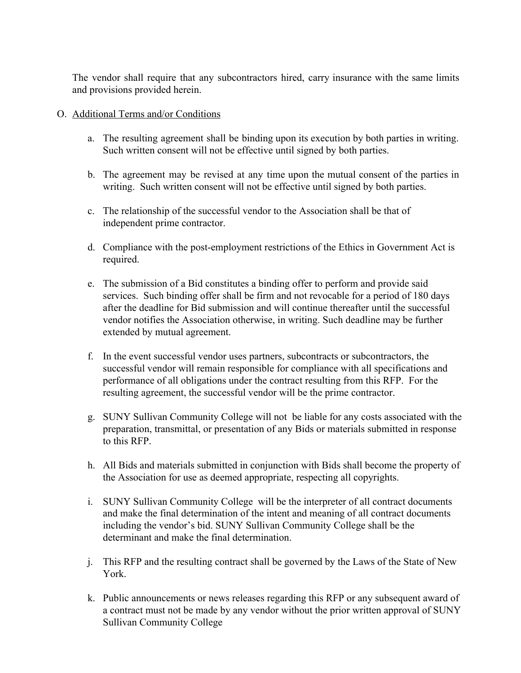The vendor shall require that any subcontractors hired, carry insurance with the same limits and provisions provided herein.

#### O. Additional Terms and/or Conditions

- a. The resulting agreement shall be binding upon its execution by both parties in writing. Such written consent will not be effective until signed by both parties.
- b. The agreement may be revised at any time upon the mutual consent of the parties in writing. Such written consent will not be effective until signed by both parties.
- c. The relationship of the successful vendor to the Association shall be that of independent prime contractor.
- d. Compliance with the post-employment restrictions of the Ethics in Government Act is required.
- e. The submission of a Bid constitutes a binding offer to perform and provide said services. Such binding offer shall be firm and not revocable for a period of 180 days after the deadline for Bid submission and will continue thereafter until the successful vendor notifies the Association otherwise, in writing. Such deadline may be further extended by mutual agreement.
- f. In the event successful vendor uses partners, subcontracts or subcontractors, the successful vendor will remain responsible for compliance with all specifications and performance of all obligations under the contract resulting from this RFP. For the resulting agreement, the successful vendor will be the prime contractor.
- g. SUNY Sullivan Community College will not be liable for any costs associated with the preparation, transmittal, or presentation of any Bids or materials submitted in response to this RFP.
- h. All Bids and materials submitted in conjunction with Bids shall become the property of the Association for use as deemed appropriate, respecting all copyrights.
- i. SUNY Sullivan Community College will be the interpreter of all contract documents and make the final determination of the intent and meaning of all contract documents including the vendor's bid. SUNY Sullivan Community College shall be the determinant and make the final determination.
- j. This RFP and the resulting contract shall be governed by the Laws of the State of New York.
- k. Public announcements or news releases regarding this RFP or any subsequent award of a contract must not be made by any vendor without the prior written approval of SUNY Sullivan Community College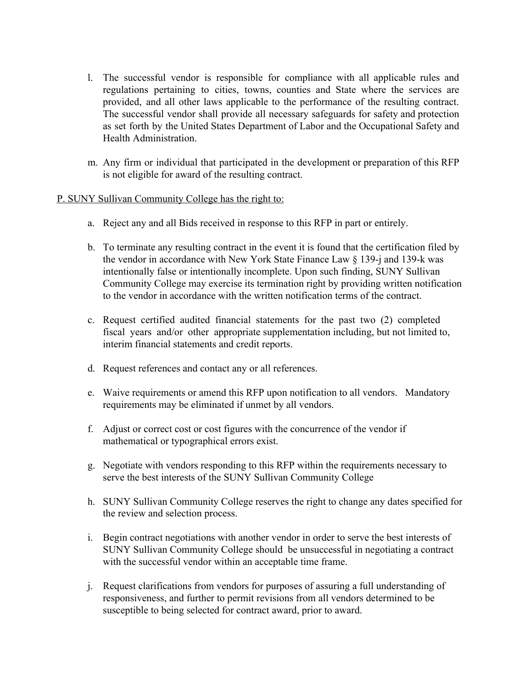- l. The successful vendor is responsible for compliance with all applicable rules and regulations pertaining to cities, towns, counties and State where the services are provided, and all other laws applicable to the performance of the resulting contract. The successful vendor shall provide all necessary safeguards for safety and protection as set forth by the United States Department of Labor and the Occupational Safety and Health Administration.
- m. Any firm or individual that participated in the development or preparation of this RFP is not eligible for award of the resulting contract.

#### P. SUNY Sullivan Community College has the right to:

- a. Reject any and all Bids received in response to this RFP in part or entirely.
- b. To terminate any resulting contract in the event it is found that the certification filed by the vendor in accordance with New York State Finance Law § 139-j and 139-k was intentionally false or intentionally incomplete. Upon such finding, SUNY Sullivan Community College may exercise its termination right by providing written notification to the vendor in accordance with the written notification terms of the contract.
- c. Request certified audited financial statements for the past two (2) completed fiscal years and/or other appropriate supplementation including, but not limited to, interim financial statements and credit reports.
- d. Request references and contact any or all references.
- e. Waive requirements or amend this RFP upon notification to all vendors. Mandatory requirements may be eliminated if unmet by all vendors.
- f. Adjust or correct cost or cost figures with the concurrence of the vendor if mathematical or typographical errors exist.
- g. Negotiate with vendors responding to this RFP within the requirements necessary to serve the best interests of the SUNY Sullivan Community College
- h. SUNY Sullivan Community College reserves the right to change any dates specified for the review and selection process.
- i. Begin contract negotiations with another vendor in order to serve the best interests of SUNY Sullivan Community College should be unsuccessful in negotiating a contract with the successful vendor within an acceptable time frame.
- j. Request clarifications from vendors for purposes of assuring a full understanding of responsiveness, and further to permit revisions from all vendors determined to be susceptible to being selected for contract award, prior to award.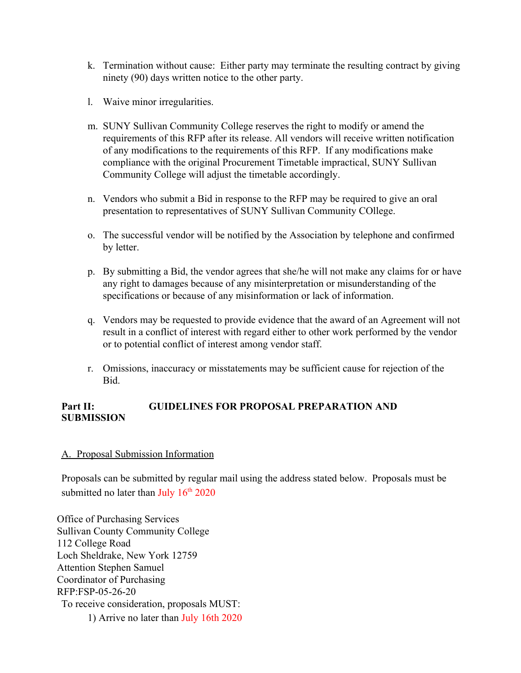- k. Termination without cause: Either party may terminate the resulting contract by giving ninety (90) days written notice to the other party.
- l. Waive minor irregularities.
- m. SUNY Sullivan Community College reserves the right to modify or amend the requirements of this RFP after its release. All vendors will receive written notification of any modifications to the requirements of this RFP. If any modifications make compliance with the original Procurement Timetable impractical, SUNY Sullivan Community College will adjust the timetable accordingly.
- n. Vendors who submit a Bid in response to the RFP may be required to give an oral presentation to representatives of SUNY Sullivan Community COllege.
- o. The successful vendor will be notified by the Association by telephone and confirmed by letter.
- p. By submitting a Bid, the vendor agrees that she/he will not make any claims for or have any right to damages because of any misinterpretation or misunderstanding of the specifications or because of any misinformation or lack of information.
- q. Vendors may be requested to provide evidence that the award of an Agreement will not result in a conflict of interest with regard either to other work performed by the vendor or to potential conflict of interest among vendor staff.
- r. Omissions, inaccuracy or misstatements may be sufficient cause for rejection of the **Bid.**

## **Part II: GUIDELINES FOR PROPOSAL PREPARATION AND SUBMISSION**

#### A. Proposal Submission Information

Proposals can be submitted by regular mail using the address stated below. Proposals must be submitted no later than  $\text{July } 16^{\text{th}} 2020$ 

Office of Purchasing Services Sullivan County Community College 112 College Road Loch Sheldrake, New York 12759 Attention Stephen Samuel Coordinator of Purchasing RFP:FSP-05-26-20 To receive consideration, proposals MUST: 1) Arrive no later than July 16th 2020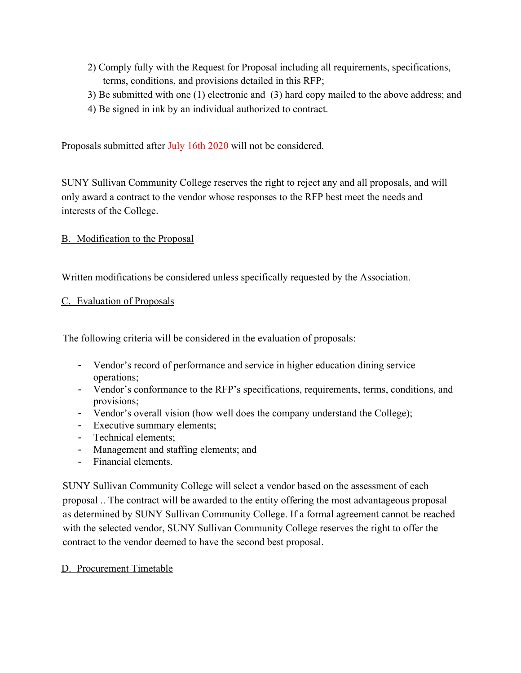- 2) Comply fully with the Request for Proposal including all requirements, specifications, terms, conditions, and provisions detailed in this RFP;
- 3) Be submitted with one (1) electronic and (3) hard copy mailed to the above address; and
- 4) Be signed in ink by an individual authorized to contract.

Proposals submitted after July 16th 2020 will not be considered.

SUNY Sullivan Community College reserves the right to reject any and all proposals, and will only award a contract to the vendor whose responses to the RFP best meet the needs and interests of the College.

## B. Modification to the Proposal

Written modifications be considered unless specifically requested by the Association.

## C. Evaluation of Proposals

The following criteria will be considered in the evaluation of proposals:

- Vendor's record of performance and service in higher education dining service operations;
- Vendor's conformance to the RFP's specifications, requirements, terms, conditions, and provisions;
- Vendor's overall vision (how well does the company understand the College);
- Executive summary elements;
- Technical elements;
- Management and staffing elements; and
- Financial elements.

SUNY Sullivan Community College will select a vendor based on the assessment of each proposal .. The contract will be awarded to the entity offering the most advantageous proposal as determined by SUNY Sullivan Community College. If a formal agreement cannot be reached with the selected vendor, SUNY Sullivan Community College reserves the right to offer the contract to the vendor deemed to have the second best proposal.

## D. Procurement Timetable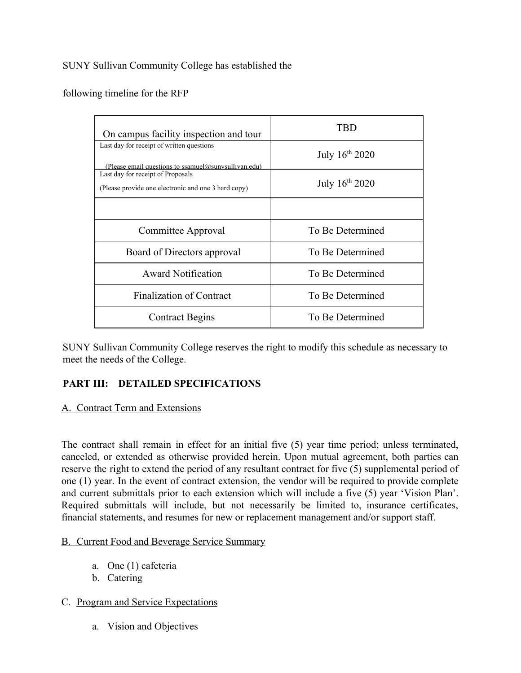## SUNY Sullivan Community College has established the

## following timeline for the RFP

| On campus facility inspection and tour                                                            | TRD              |
|---------------------------------------------------------------------------------------------------|------------------|
| Last day for receipt of written questions<br>(Please email questions to ssamuel@sunvsullivan.edu) | July 16th 2020   |
| Last day for receipt of Proposals<br>(Please provide one electronic and one 3 hard copy)          | July 16th 2020   |
|                                                                                                   |                  |
| Committee Approval                                                                                | To Be Determined |
| Board of Directors approval                                                                       | To Be Determined |
| <b>Award Notification</b>                                                                         | To Be Determined |
| <b>Finalization of Contract</b>                                                                   | To Be Determined |
| <b>Contract Begins</b>                                                                            | To Be Determined |

SUNY Sullivan Community College reserves the right to modify this schedule as necessary to meet the needs of the College.

# **PART III: DETAILED SPECIFICATIONS**

#### A. Contract Term and Extensions

The contract shall remain in effect for an initial five (5) year time period; unless terminated, canceled, or extended as otherwise provided herein. Upon mutual agreement, both parties can reserve the right to extend the period of any resultant contract for five (5) supplemental period of one (1) year. In the event of contract extension, the vendor will be required to provide complete and current submittals prior to each extension which will include a five (5) year 'Vision Plan'. Required submittals will include, but not necessarily be limited to, insurance certificates, financial statements, and resumes for new or replacement management and/or support staff.

## B. Current Food and Beverage Service Summary

- a. One (1) cafeteria
- b. Catering
- C. Program and Service Expectations
	- a. Vision and Objectives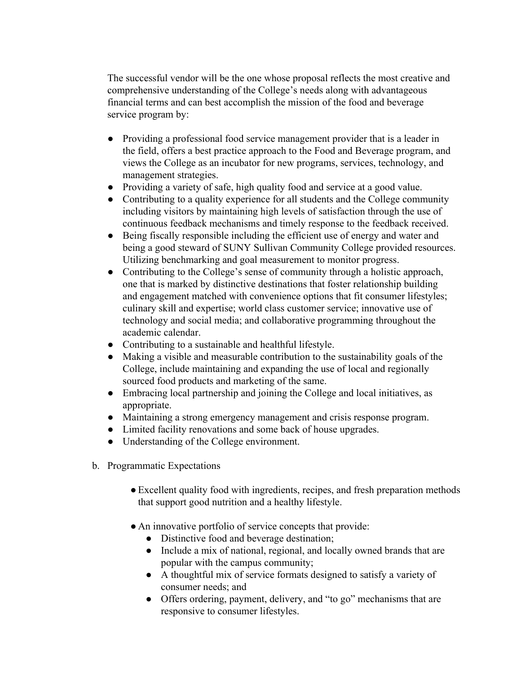The successful vendor will be the one whose proposal reflects the most creative and comprehensive understanding of the College's needs along with advantageous financial terms and can best accomplish the mission of the food and beverage service program by:

- Providing a professional food service management provider that is a leader in the field, offers a best practice approach to the Food and Beverage program, and views the College as an incubator for new programs, services, technology, and management strategies.
- Providing a variety of safe, high quality food and service at a good value.
- Contributing to a quality experience for all students and the College community including visitors by maintaining high levels of satisfaction through the use of continuous feedback mechanisms and timely response to the feedback received.
- Being fiscally responsible including the efficient use of energy and water and being a good steward of SUNY Sullivan Community College provided resources. Utilizing benchmarking and goal measurement to monitor progress.
- Contributing to the College's sense of community through a holistic approach, one that is marked by distinctive destinations that foster relationship building and engagement matched with convenience options that fit consumer lifestyles; culinary skill and expertise; world class customer service; innovative use of technology and social media; and collaborative programming throughout the academic calendar.
- Contributing to a sustainable and healthful lifestyle.
- Making a visible and measurable contribution to the sustainability goals of the College, include maintaining and expanding the use of local and regionally sourced food products and marketing of the same.
- Embracing local partnership and joining the College and local initiatives, as appropriate.
- Maintaining a strong emergency management and crisis response program.
- Limited facility renovations and some back of house upgrades.
- Understanding of the College environment.
- b. Programmatic Expectations
	- ●Excellent quality food with ingredients, recipes, and fresh preparation methods that support good nutrition and a healthy lifestyle.
	- An innovative portfolio of service concepts that provide:
		- Distinctive food and beverage destination;
		- Include a mix of national, regional, and locally owned brands that are popular with the campus community;
		- A thoughtful mix of service formats designed to satisfy a variety of consumer needs; and
		- Offers ordering, payment, delivery, and "to go" mechanisms that are responsive to consumer lifestyles.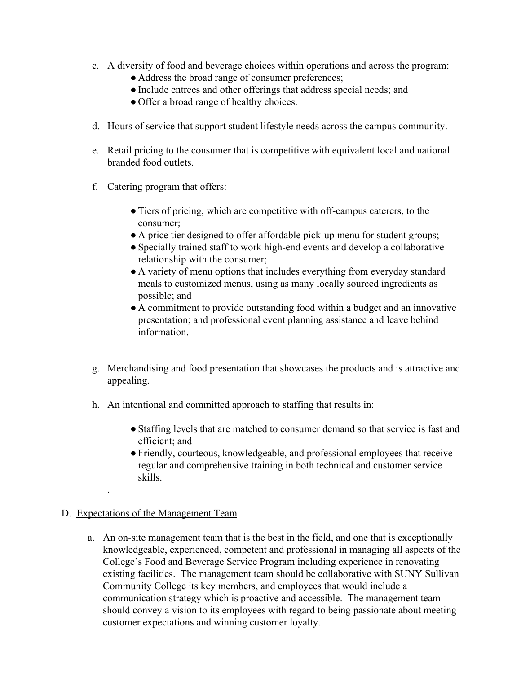- c. A diversity of food and beverage choices within operations and across the program:
	- Address the broad range of consumer preferences;
	- ●Include entrees and other offerings that address special needs; and
	- Offer a broad range of healthy choices.
- d. Hours of service that support student lifestyle needs across the campus community.
- e. Retail pricing to the consumer that is competitive with equivalent local and national branded food outlets.
- f. Catering program that offers:
	- ●Tiers of pricing, which are competitive with off-campus caterers, to the consumer;
	- A price tier designed to offer affordable pick-up menu for student groups;
	- ●Specially trained staff to work high-end events and develop a collaborative relationship with the consumer;
	- A variety of menu options that includes everything from everyday standard meals to customized menus, using as many locally sourced ingredients as possible; and
	- A commitment to provide outstanding food within a budget and an innovative presentation; and professional event planning assistance and leave behind information.
- g. Merchandising and food presentation that showcases the products and is attractive and appealing.
- h. An intentional and committed approach to staffing that results in:
	- Staffing levels that are matched to consumer demand so that service is fast and efficient; and
	- ●Friendly, courteous, knowledgeable, and professional employees that receive regular and comprehensive training in both technical and customer service skills.

## D. Expectations of the Management Team

.

a. An on-site management team that is the best in the field, and one that is exceptionally knowledgeable, experienced, competent and professional in managing all aspects of the College's Food and Beverage Service Program including experience in renovating existing facilities. The management team should be collaborative with SUNY Sullivan Community College its key members, and employees that would include a communication strategy which is proactive and accessible. The management team should convey a vision to its employees with regard to being passionate about meeting customer expectations and winning customer loyalty.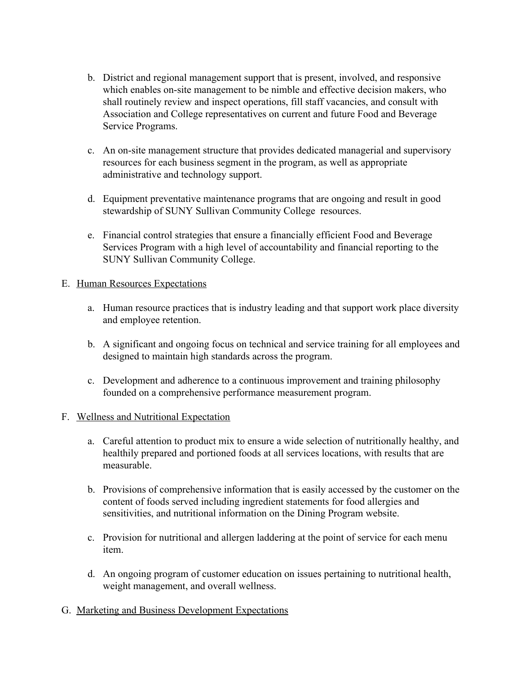- b. District and regional management support that is present, involved, and responsive which enables on-site management to be nimble and effective decision makers, who shall routinely review and inspect operations, fill staff vacancies, and consult with Association and College representatives on current and future Food and Beverage Service Programs.
- c. An on-site management structure that provides dedicated managerial and supervisory resources for each business segment in the program, as well as appropriate administrative and technology support.
- d. Equipment preventative maintenance programs that are ongoing and result in good stewardship of SUNY Sullivan Community College resources.
- e. Financial control strategies that ensure a financially efficient Food and Beverage Services Program with a high level of accountability and financial reporting to the SUNY Sullivan Community College.

## E. Human Resources Expectations

- a. Human resource practices that is industry leading and that support work place diversity and employee retention.
- b. A significant and ongoing focus on technical and service training for all employees and designed to maintain high standards across the program.
- c. Development and adherence to a continuous improvement and training philosophy founded on a comprehensive performance measurement program.

## F. Wellness and Nutritional Expectation

- a. Careful attention to product mix to ensure a wide selection of nutritionally healthy, and healthily prepared and portioned foods at all services locations, with results that are measurable.
- b. Provisions of comprehensive information that is easily accessed by the customer on the content of foods served including ingredient statements for food allergies and sensitivities, and nutritional information on the Dining Program website.
- c. Provision for nutritional and allergen laddering at the point of service for each menu item.
- d. An ongoing program of customer education on issues pertaining to nutritional health, weight management, and overall wellness.
- G. Marketing and Business Development Expectations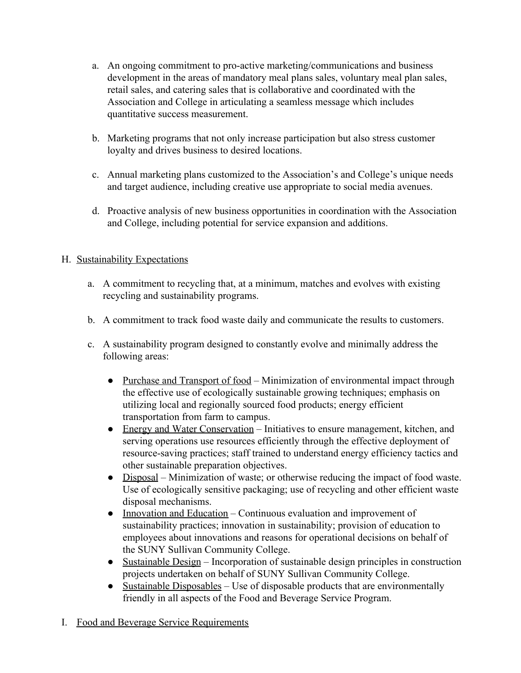- a. An ongoing commitment to pro-active marketing/communications and business development in the areas of mandatory meal plans sales, voluntary meal plan sales, retail sales, and catering sales that is collaborative and coordinated with the Association and College in articulating a seamless message which includes quantitative success measurement.
- b. Marketing programs that not only increase participation but also stress customer loyalty and drives business to desired locations.
- c. Annual marketing plans customized to the Association's and College's unique needs and target audience, including creative use appropriate to social media avenues.
- d. Proactive analysis of new business opportunities in coordination with the Association and College, including potential for service expansion and additions.

# H. Sustainability Expectations

- a. A commitment to recycling that, at a minimum, matches and evolves with existing recycling and sustainability programs.
- b. A commitment to track food waste daily and communicate the results to customers.
- c. A sustainability program designed to constantly evolve and minimally address the following areas:
	- Purchase and Transport of food Minimization of environmental impact through the effective use of ecologically sustainable growing techniques; emphasis on utilizing local and regionally sourced food products; energy efficient transportation from farm to campus.
	- Energy and Water Conservation Initiatives to ensure management, kitchen, and serving operations use resources efficiently through the effective deployment of resource-saving practices; staff trained to understand energy efficiency tactics and other sustainable preparation objectives.
	- Disposal Minimization of waste; or otherwise reducing the impact of food waste. Use of ecologically sensitive packaging; use of recycling and other efficient waste disposal mechanisms.
	- Innovation and Education Continuous evaluation and improvement of sustainability practices; innovation in sustainability; provision of education to employees about innovations and reasons for operational decisions on behalf of the SUNY Sullivan Community College.
	- Sustainable Design Incorporation of sustainable design principles in construction projects undertaken on behalf of SUNY Sullivan Community College.
	- $\bullet$  Sustainable Disposables Use of disposable products that are environmentally friendly in all aspects of the Food and Beverage Service Program.
- I. Food and Beverage Service Requirements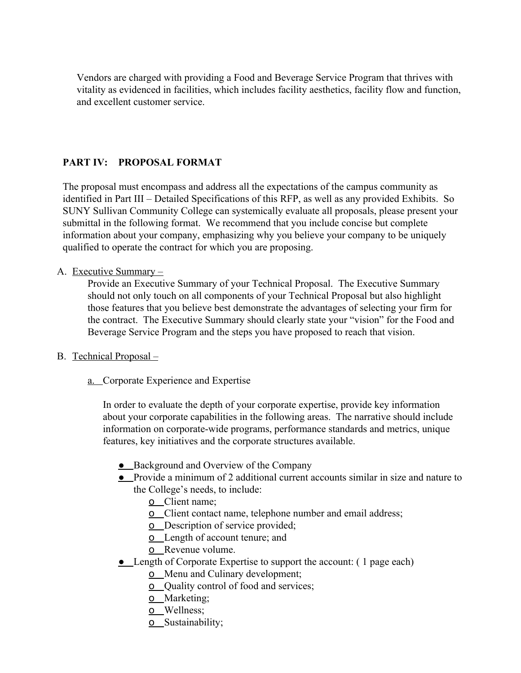Vendors are charged with providing a Food and Beverage Service Program that thrives with vitality as evidenced in facilities, which includes facility aesthetics, facility flow and function, and excellent customer service.

## **PART IV: PROPOSAL FORMAT**

The proposal must encompass and address all the expectations of the campus community as identified in Part III – Detailed Specifications of this RFP, as well as any provided Exhibits. So SUNY Sullivan Community College can systemically evaluate all proposals, please present your submittal in the following format. We recommend that you include concise but complete information about your company, emphasizing why you believe your company to be uniquely qualified to operate the contract for which you are proposing.

#### A. Executive Summary –

Provide an Executive Summary of your Technical Proposal. The Executive Summary should not only touch on all components of your Technical Proposal but also highlight those features that you believe best demonstrate the advantages of selecting your firm for the contract. The Executive Summary should clearly state your "vision" for the Food and Beverage Service Program and the steps you have proposed to reach that vision.

#### B. Technical Proposal –

a. Corporate Experience and Expertise

In order to evaluate the depth of your corporate expertise, provide key information about your corporate capabilities in the following areas. The narrative should include information on corporate-wide programs, performance standards and metrics, unique features, key initiatives and the corporate structures available.

- Background and Overview of the Company
- Provide a minimum of 2 additional current accounts similar in size and nature to the College's needs, to include:
	- o Client name;
	- **<u>o**</u> Client contact name, telephone number and email address;
	- **o** Description of service provided;
	- o Length of account tenure; and
	- o Revenue volume.
- Length of Corporate Expertise to support the account: (1 page each)
	- o Menu and Culinary development;
	- o Quality control of food and services;
	- o Marketing;
	- o Wellness;
	- o Sustainability;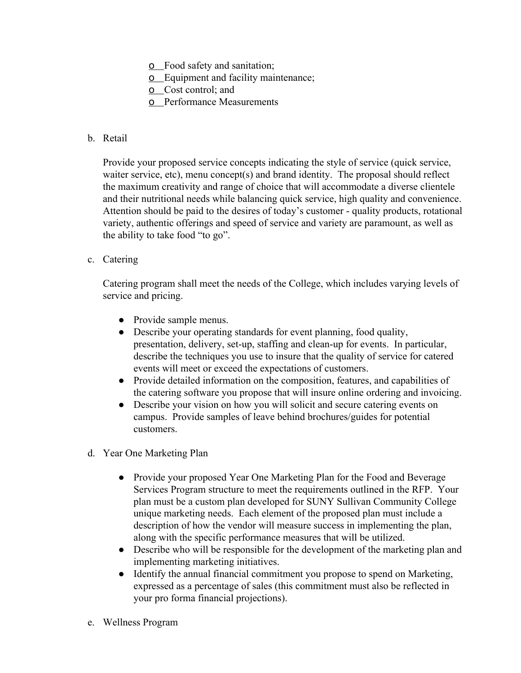- o Food safety and sanitation;
- o Equipment and facility maintenance;
- o Cost control; and
- o Performance Measurements

## b. Retail

Provide your proposed service concepts indicating the style of service (quick service, waiter service, etc), menu concept(s) and brand identity. The proposal should reflect the maximum creativity and range of choice that will accommodate a diverse clientele and their nutritional needs while balancing quick service, high quality and convenience. Attention should be paid to the desires of today's customer - quality products, rotational variety, authentic offerings and speed of service and variety are paramount, as well as the ability to take food "to go".

## c. Catering

Catering program shall meet the needs of the College, which includes varying levels of service and pricing.

- Provide sample menus.
- Describe your operating standards for event planning, food quality, presentation, delivery, set-up, staffing and clean-up for events. In particular, describe the techniques you use to insure that the quality of service for catered events will meet or exceed the expectations of customers.
- Provide detailed information on the composition, features, and capabilities of the catering software you propose that will insure online ordering and invoicing.
- Describe your vision on how you will solicit and secure catering events on campus. Provide samples of leave behind brochures/guides for potential customers.
- d. Year One Marketing Plan
	- Provide your proposed Year One Marketing Plan for the Food and Beverage Services Program structure to meet the requirements outlined in the RFP. Your plan must be a custom plan developed for SUNY Sullivan Community College unique marketing needs. Each element of the proposed plan must include a description of how the vendor will measure success in implementing the plan, along with the specific performance measures that will be utilized.
	- Describe who will be responsible for the development of the marketing plan and implementing marketing initiatives.
	- Identify the annual financial commitment you propose to spend on Marketing, expressed as a percentage of sales (this commitment must also be reflected in your pro forma financial projections).
- e. Wellness Program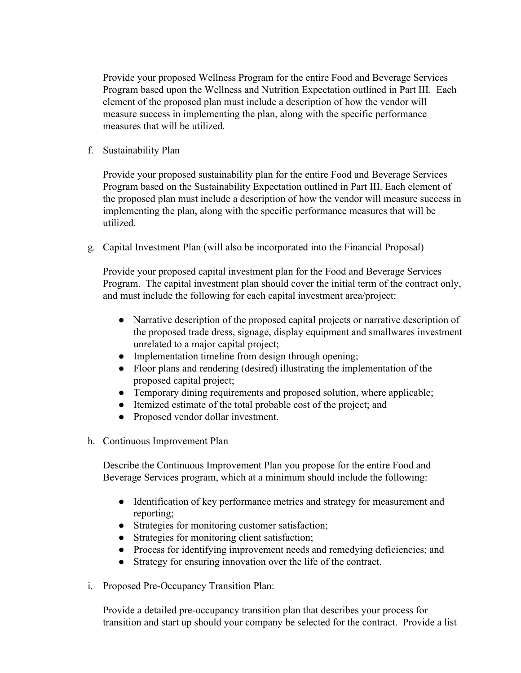Provide your proposed Wellness Program for the entire Food and Beverage Services Program based upon the Wellness and Nutrition Expectation outlined in Part III. Each element of the proposed plan must include a description of how the vendor will measure success in implementing the plan, along with the specific performance measures that will be utilized.

f. Sustainability Plan

Provide your proposed sustainability plan for the entire Food and Beverage Services Program based on the Sustainability Expectation outlined in Part III. Each element of the proposed plan must include a description of how the vendor will measure success in implementing the plan, along with the specific performance measures that will be utilized.

g. Capital Investment Plan (will also be incorporated into the Financial Proposal)

Provide your proposed capital investment plan for the Food and Beverage Services Program. The capital investment plan should cover the initial term of the contract only, and must include the following for each capital investment area/project:

- Narrative description of the proposed capital projects or narrative description of the proposed trade dress, signage, display equipment and smallwares investment unrelated to a major capital project;
- Implementation timeline from design through opening;
- Floor plans and rendering (desired) illustrating the implementation of the proposed capital project;
- Temporary dining requirements and proposed solution, where applicable;
- Itemized estimate of the total probable cost of the project; and
- Proposed vendor dollar investment.
- h. Continuous Improvement Plan

Describe the Continuous Improvement Plan you propose for the entire Food and Beverage Services program, which at a minimum should include the following:

- Identification of key performance metrics and strategy for measurement and reporting;
- Strategies for monitoring customer satisfaction;
- Strategies for monitoring client satisfaction;
- Process for identifying improvement needs and remedying deficiencies; and
- Strategy for ensuring innovation over the life of the contract.
- i. Proposed Pre-Occupancy Transition Plan:

Provide a detailed pre-occupancy transition plan that describes your process for transition and start up should your company be selected for the contract. Provide a list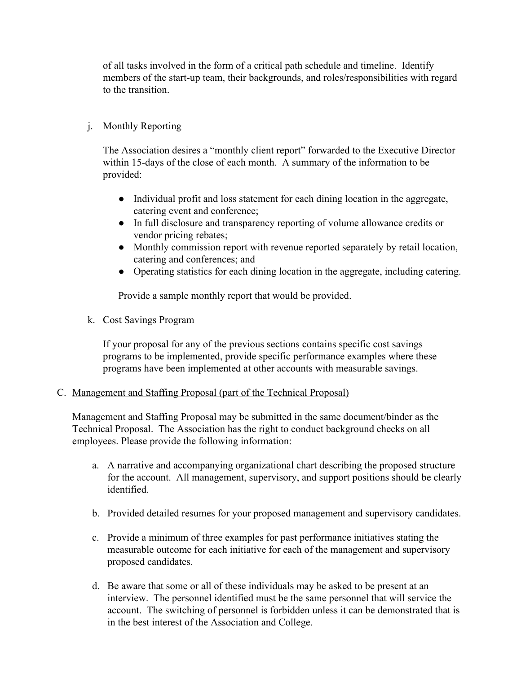of all tasks involved in the form of a critical path schedule and timeline. Identify members of the start-up team, their backgrounds, and roles/responsibilities with regard to the transition.

## j. Monthly Reporting

The Association desires a "monthly client report" forwarded to the Executive Director within 15-days of the close of each month. A summary of the information to be provided:

- Individual profit and loss statement for each dining location in the aggregate, catering event and conference;
- In full disclosure and transparency reporting of volume allowance credits or vendor pricing rebates;
- Monthly commission report with revenue reported separately by retail location, catering and conferences; and
- Operating statistics for each dining location in the aggregate, including catering.

Provide a sample monthly report that would be provided.

k. Cost Savings Program

If your proposal for any of the previous sections contains specific cost savings programs to be implemented, provide specific performance examples where these programs have been implemented at other accounts with measurable savings.

## C. Management and Staffing Proposal (part of the Technical Proposal)

Management and Staffing Proposal may be submitted in the same document/binder as the Technical Proposal. The Association has the right to conduct background checks on all employees. Please provide the following information:

- a. A narrative and accompanying organizational chart describing the proposed structure for the account. All management, supervisory, and support positions should be clearly identified.
- b. Provided detailed resumes for your proposed management and supervisory candidates.
- c. Provide a minimum of three examples for past performance initiatives stating the measurable outcome for each initiative for each of the management and supervisory proposed candidates.
- d. Be aware that some or all of these individuals may be asked to be present at an interview. The personnel identified must be the same personnel that will service the account. The switching of personnel is forbidden unless it can be demonstrated that is in the best interest of the Association and College.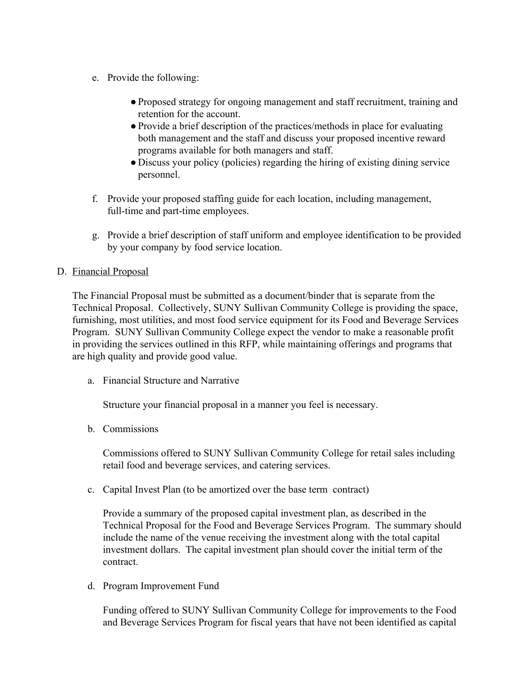- e. Provide the following:
	- ●Proposed strategy for ongoing management and staff recruitment, training and retention for the account.
	- Provide a brief description of the practices/methods in place for evaluating both management and the staff and discuss your proposed incentive reward programs available for both managers and staff.
	- Discuss your policy (policies) regarding the hiring of existing dining service personnel.
- f. Provide your proposed staffing guide for each location, including management, full-time and part-time employees.
- g. Provide a brief description of staff uniform and employee identification to be provided by your company by food service location.

## D. Financial Proposal

The Financial Proposal must be submitted as a document/binder that is separate from the Technical Proposal. Collectively, SUNY Sullivan Community College is providing the space, furnishing, most utilities, and most food service equipment for its Food and Beverage Services Program. SUNY Sullivan Community College expect the vendor to make a reasonable profit in providing the services outlined in this RFP, while maintaining offerings and programs that are high quality and provide good value.

a. Financial Structure and Narrative

Structure your financial proposal in a manner you feel is necessary.

b. Commissions

Commissions offered to SUNY Sullivan Community College for retail sales including retail food and beverage services, and catering services.

c. Capital Invest Plan (to be amortized over the base term contract)

Provide a summary of the proposed capital investment plan, as described in the Technical Proposal for the Food and Beverage Services Program. The summary should include the name of the venue receiving the investment along with the total capital investment dollars. The capital investment plan should cover the initial term of the contract.

d. Program Improvement Fund

Funding offered to SUNY Sullivan Community College for improvements to the Food and Beverage Services Program for fiscal years that have not been identified as capital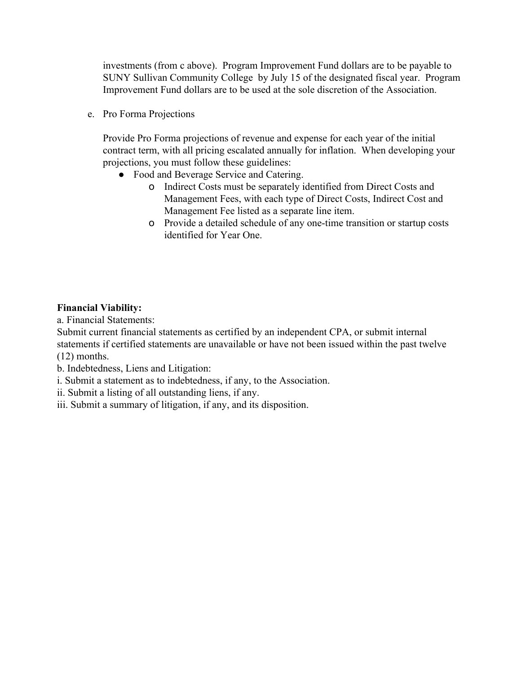investments (from c above). Program Improvement Fund dollars are to be payable to SUNY Sullivan Community College by July 15 of the designated fiscal year. Program Improvement Fund dollars are to be used at the sole discretion of the Association.

e. Pro Forma Projections

Provide Pro Forma projections of revenue and expense for each year of the initial contract term, with all pricing escalated annually for inflation. When developing your projections, you must follow these guidelines:

- Food and Beverage Service and Catering.
	- o Indirect Costs must be separately identified from Direct Costs and Management Fees, with each type of Direct Costs, Indirect Cost and Management Fee listed as a separate line item.
	- o Provide a detailed schedule of any one-time transition or startup costs identified for Year One.

## **Financial Viability:**

a. Financial Statements:

Submit current financial statements as certified by an independent CPA, or submit internal statements if certified statements are unavailable or have not been issued within the past twelve (12) months.

b. Indebtedness, Liens and Litigation:

- i. Submit a statement as to indebtedness, if any, to the Association.
- ii. Submit a listing of all outstanding liens, if any.
- iii. Submit a summary of litigation, if any, and its disposition.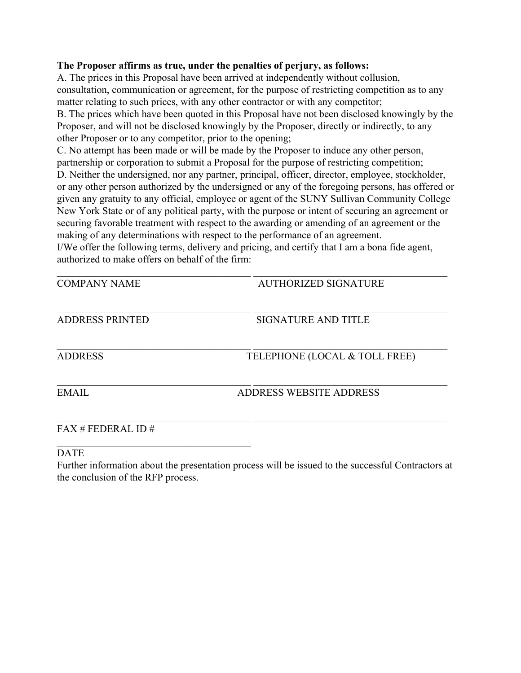#### **The Proposer affirms as true, under the penalties of perjury, as follows:**

A. The prices in this Proposal have been arrived at independently without collusion, consultation, communication or agreement, for the purpose of restricting competition as to any matter relating to such prices, with any other contractor or with any competitor;

B. The prices which have been quoted in this Proposal have not been disclosed knowingly by the Proposer, and will not be disclosed knowingly by the Proposer, directly or indirectly, to any other Proposer or to any competitor, prior to the opening;

C. No attempt has been made or will be made by the Proposer to induce any other person, partnership or corporation to submit a Proposal for the purpose of restricting competition;

D. Neither the undersigned, nor any partner, principal, officer, director, employee, stockholder, or any other person authorized by the undersigned or any of the foregoing persons, has offered or given any gratuity to any official, employee or agent of the SUNY Sullivan Community College New York State or of any political party, with the purpose or intent of securing an agreement or securing favorable treatment with respect to the awarding or amending of an agreement or the making of any determinations with respect to the performance of an agreement.

I/We offer the following terms, delivery and pricing, and certify that I am a bona fide agent, authorized to make offers on behalf of the firm:

| <b>COMPANY NAME</b>    | <b>AUTHORIZED SIGNATURE</b>    |
|------------------------|--------------------------------|
| <b>ADDRESS PRINTED</b> | SIGNATURE AND TITLE            |
| <b>ADDRESS</b>         | TELEPHONE (LOCAL & TOLL FREE)  |
| <b>EMAIL</b>           | <b>ADDRESS WEBSITE ADDRESS</b> |
| $FAX \# FEDERAL ID \#$ |                                |

DATE

 $\mathcal{L}_\text{max}$  and  $\mathcal{L}_\text{max}$  and  $\mathcal{L}_\text{max}$  and  $\mathcal{L}_\text{max}$ 

Further information about the presentation process will be issued to the successful Contractors at the conclusion of the RFP process.